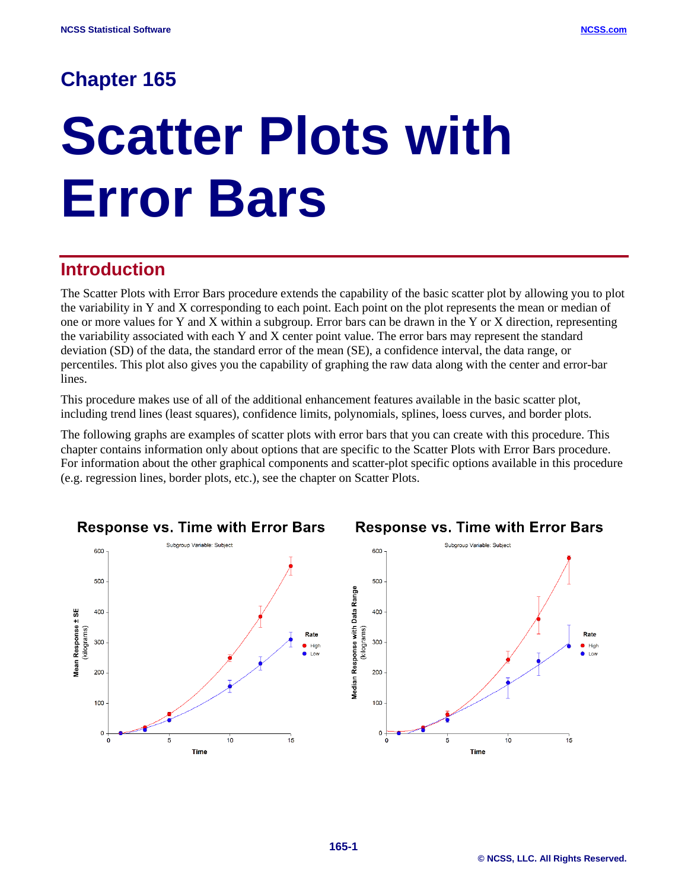# **Chapter 165**

# **Scatter Plots with Error Bars**

# **Introduction**

The Scatter Plots with Error Bars procedure extends the capability of the basic scatter plot by allowing you to plot the variability in Y and X corresponding to each point. Each point on the plot represents the mean or median of one or more values for Y and X within a subgroup. Error bars can be drawn in the Y or X direction, representing the variability associated with each Y and X center point value. The error bars may represent the standard deviation (SD) of the data, the standard error of the mean (SE), a confidence interval, the data range, or percentiles. This plot also gives you the capability of graphing the raw data along with the center and error-bar lines.

This procedure makes use of all of the additional enhancement features available in the basic scatter plot, including trend lines (least squares), confidence limits, polynomials, splines, loess curves, and border plots.

The following graphs are examples of scatter plots with error bars that you can create with this procedure. This chapter contains information only about options that are specific to the Scatter Plots with Error Bars procedure. For information about the other graphical components and scatter-plot specific options available in this procedure (e.g. regression lines, border plots, etc.), see the chapter on Scatter Plots.

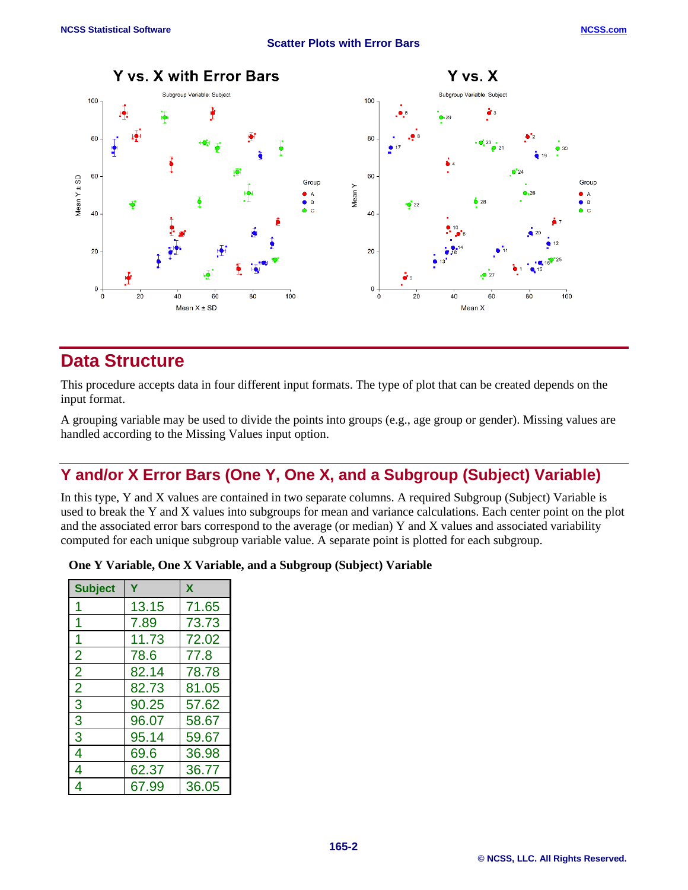Y vs. X with Error Bars

#### **Scatter Plots with Error Bars**



## **Data Structure**

This procedure accepts data in four different input formats. The type of plot that can be created depends on the input format.

A grouping variable may be used to divide the points into groups (e.g., age group or gender). Missing values are handled according to the Missing Values input option.

## **Y and/or X Error Bars (One Y, One X, and a Subgroup (Subject) Variable)**

In this type, Y and X values are contained in two separate columns. A required Subgroup (Subject) Variable is used to break the Y and X values into subgroups for mean and variance calculations. Each center point on the plot and the associated error bars correspond to the average (or median) Y and X values and associated variability computed for each unique subgroup variable value. A separate point is plotted for each subgroup.

### **One Y Variable, One X Variable, and a Subgroup (Subject) Variable**

| <b>Subject</b> |       | X     |
|----------------|-------|-------|
|                | 13.15 | 71.65 |
|                | 7.89  | 73.73 |
|                | 11.73 | 72.02 |
| $\overline{2}$ | 78.6  | 77.8  |
| $\overline{2}$ | 82.14 | 78.78 |
| $\overline{2}$ | 82.73 | 81.05 |
| 3              | 90.25 | 57.62 |
| 3              | 96.07 | 58.67 |
| 3              | 95.14 | 59.67 |
| 4              | 69.6  | 36.98 |
| 4              | 62.37 | 36.77 |
| 4              | 67.99 | 36.05 |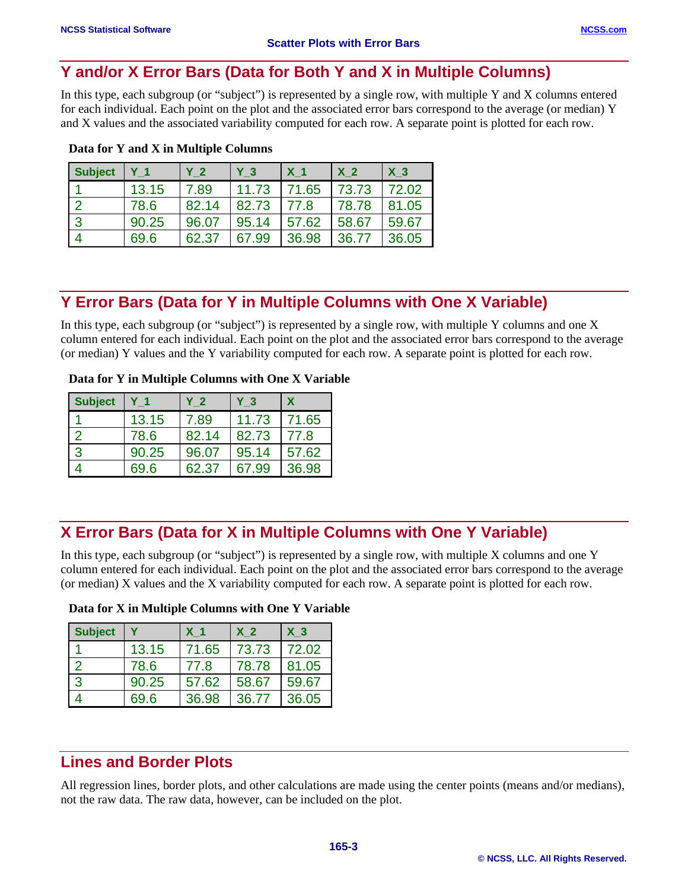## **Y and/or X Error Bars (Data for Both Y and X in Multiple Columns)**

In this type, each subgroup (or "subject") is represented by a single row, with multiple Y and X columns entered for each individual. Each point on the plot and the associated error bars correspond to the average (or median) Y and X values and the associated variability computed for each row. A separate point is plotted for each row.

| <b>Subject</b> | Y <sub>1</sub> | Y <sub>2</sub> | Y <sub>3</sub> | X <sub>1</sub> | X <sub>2</sub> | X <sub>3</sub> |
|----------------|----------------|----------------|----------------|----------------|----------------|----------------|
|                | 13.15          | 7.89           | 11.73          | 71.65          | 73.73          | 72.02          |
| ר ו            | 78.6           | 82.14          | 82.73          | 77.8           | 78.78          | 81.05          |
| $\overline{3}$ | 90.25          | 96.07          | 95.14          | 57.62          | 58.67          | 59.67          |
| $\overline{4}$ | 69.6           | 62.37          | 67.99          | 36.98          | 36.77          | 36.05          |

## **Data for Y and X in Multiple Columns**

## **Y Error Bars (Data for Y in Multiple Columns with One X Variable)**

In this type, each subgroup (or "subject") is represented by a single row, with multiple Y columns and one X column entered for each individual. Each point on the plot and the associated error bars correspond to the average (or median) Y values and the Y variability computed for each row. A separate point is plotted for each row.

|  |  | Data for Y in Multiple Columns with One X Variable |  |  |  |  |
|--|--|----------------------------------------------------|--|--|--|--|
|--|--|----------------------------------------------------|--|--|--|--|

| <b>Subject</b> |       | Y 2   | Y 3   | X     |
|----------------|-------|-------|-------|-------|
|                | 13.15 | 7.89  | 11.73 | 71.65 |
| $\overline{2}$ | 78.6  | 82.14 | 82.73 | 77.8  |
| $\overline{3}$ | 90.25 | 96.07 | 95.14 | 57.62 |
|                | 69.6  | 62.37 | 67.99 | 36.98 |

## **X Error Bars (Data for X in Multiple Columns with One Y Variable)**

In this type, each subgroup (or "subject") is represented by a single row, with multiple X columns and one Y column entered for each individual. Each point on the plot and the associated error bars correspond to the average (or median) X values and the X variability computed for each row. A separate point is plotted for each row.

| Data for X in Multiple Columns with One Y Variable |  |  |  |
|----------------------------------------------------|--|--|--|
|----------------------------------------------------|--|--|--|

| <b>Subject</b> |       | X <sub>1</sub> | X <sub>2</sub> | X <sub>3</sub> |
|----------------|-------|----------------|----------------|----------------|
|                | 13.15 | 71.65          | 73.73          | 72.02          |
| $\overline{2}$ | 78.6  | 77.8           | 78.78          | 81.05          |
| $\overline{3}$ | 90.25 | 57.62          | 58.67          | 59.67          |
|                | 69.6  | 36.98          | 36.77          | 36.05          |

## **Lines and Border Plots**

All regression lines, border plots, and other calculations are made using the center points (means and/or medians), not the raw data. The raw data, however, can be included on the plot.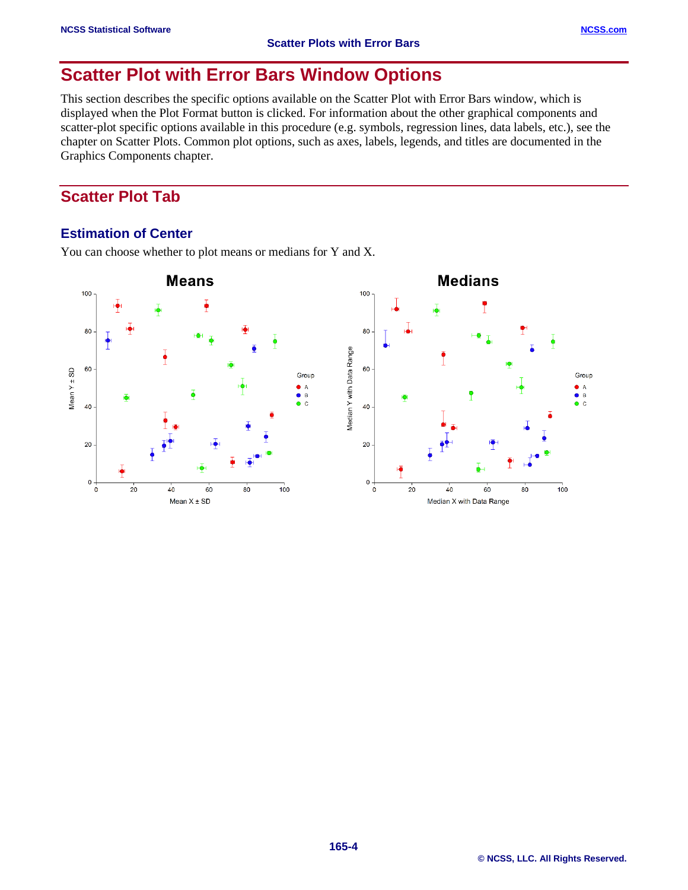# **Scatter Plot with Error Bars Window Options**

This section describes the specific options available on the Scatter Plot with Error Bars window, which is displayed when the Plot Format button is clicked. For information about the other graphical components and scatter-plot specific options available in this procedure (e.g. symbols, regression lines, data labels, etc.), see the chapter on Scatter Plots. Common plot options, such as axes, labels, legends, and titles are documented in the Graphics Components chapter.

## **Scatter Plot Tab**

## **Estimation of Center**

You can choose whether to plot means or medians for Y and X.

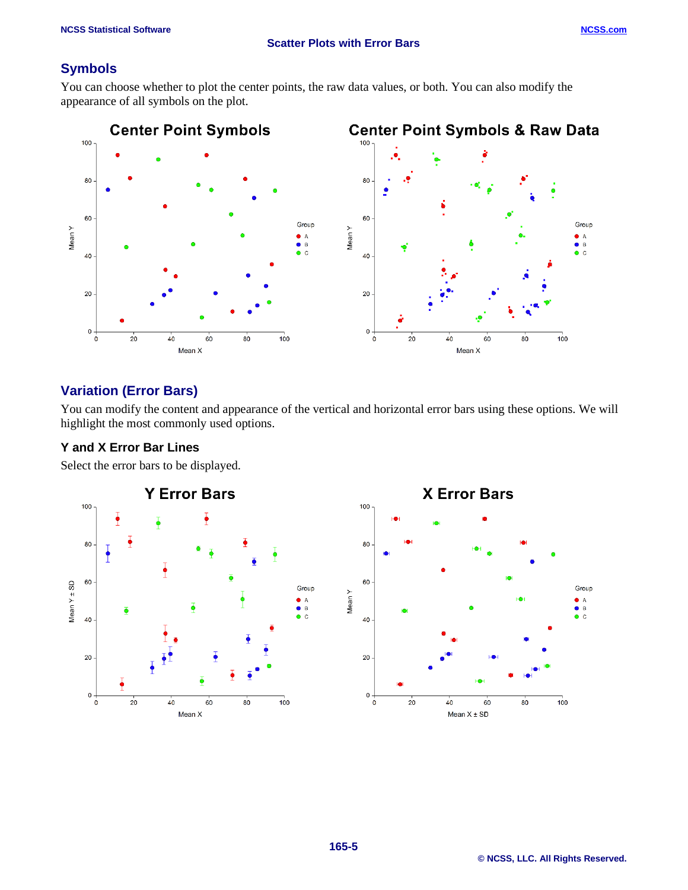## **Symbols**

You can choose whether to plot the center points, the raw data values, or both. You can also modify the appearance of all symbols on the plot.



## **Variation (Error Bars)**

You can modify the content and appearance of the vertical and horizontal error bars using these options. We will highlight the most commonly used options.

## **Y and X Error Bar Lines**

Select the error bars to be displayed.

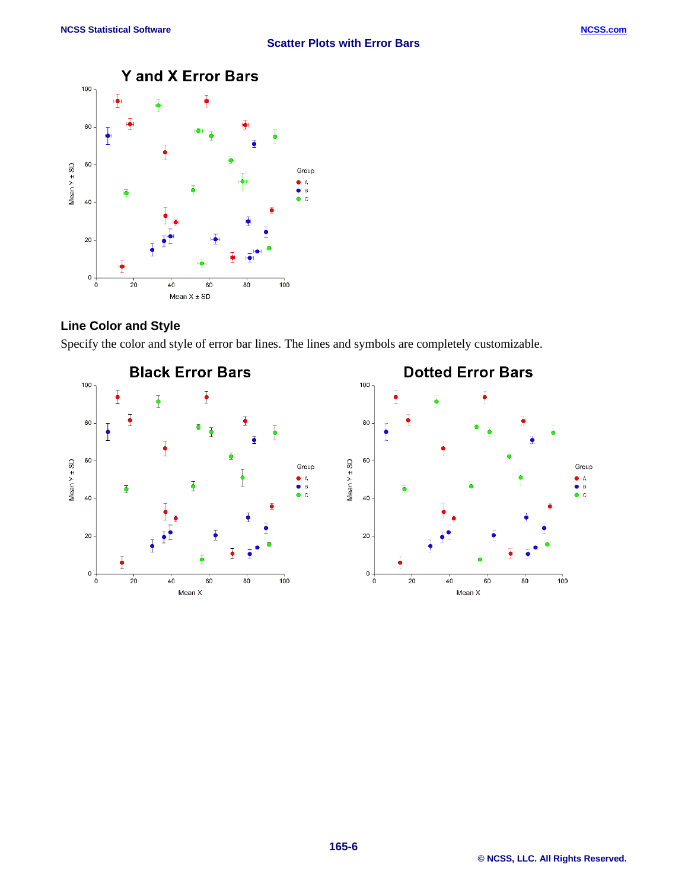

## **Line Color and Style**

Specify the color and style of error bar lines. The lines and symbols are completely customizable.

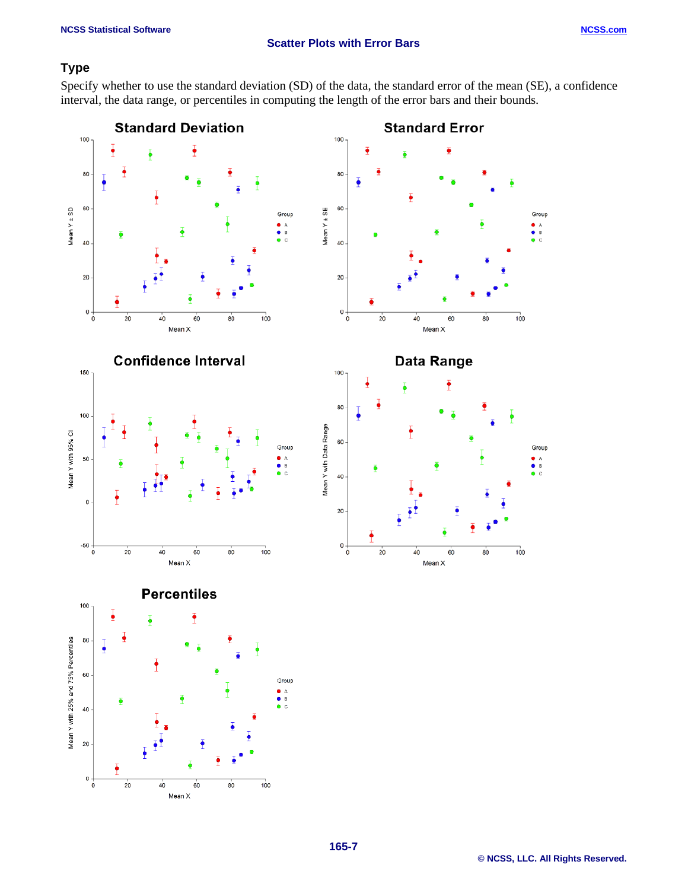## **Scatter Plots with Error Bars**

## **Type**

Specify whether to use the standard deviation (SD) of the data, the standard error of the mean (SE), a confidence interval, the data range, or percentiles in computing the length of the error bars and their bounds.

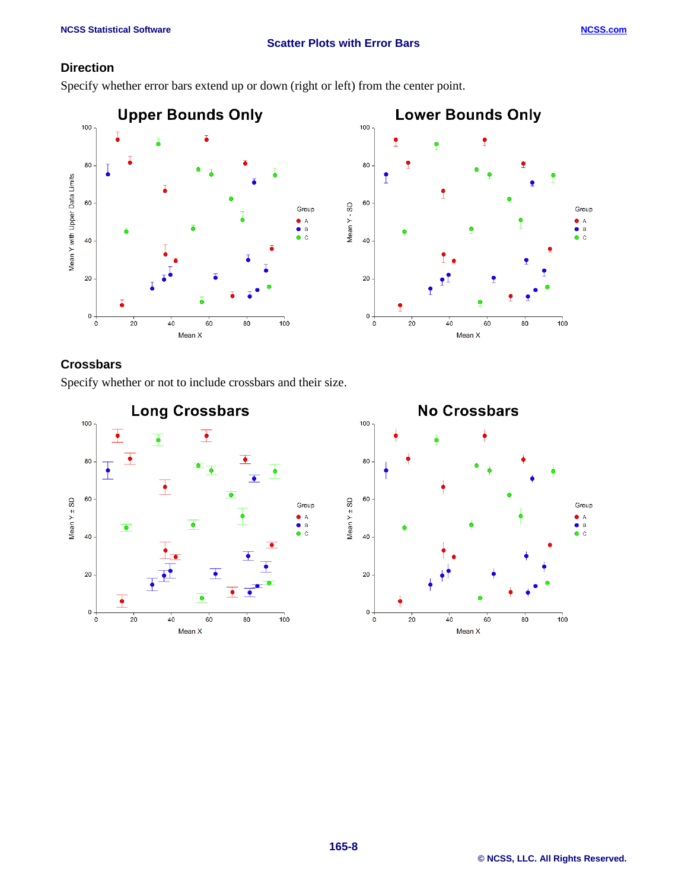## **Scatter Plots with Error Bars**

## **Direction**

Specify whether error bars extend up or down (right or left) from the center point.



## **Crossbars**

Specify whether or not to include crossbars and their size.

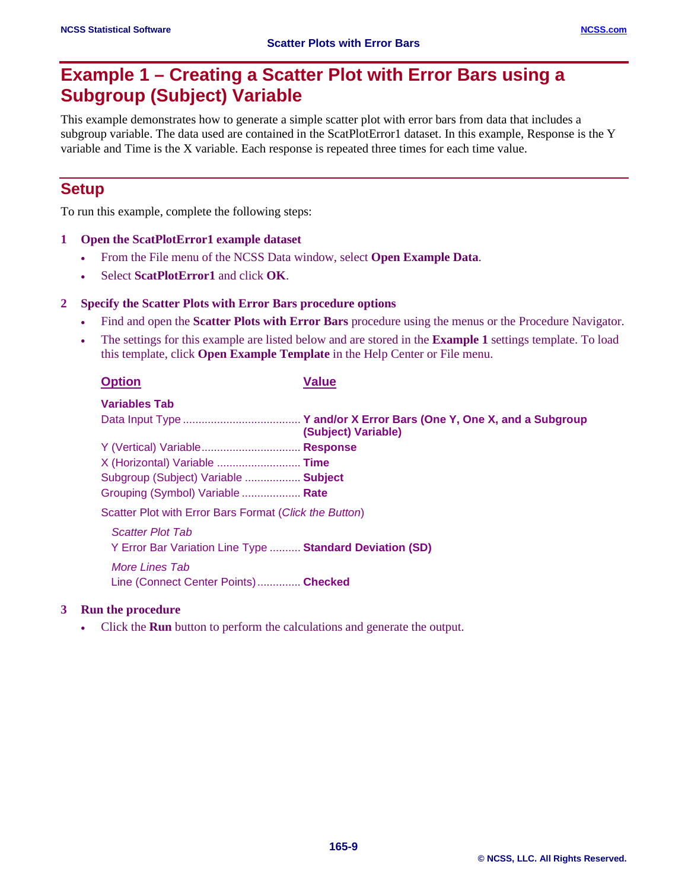# **Example 1 – Creating a Scatter Plot with Error Bars using a Subgroup (Subject) Variable**

This example demonstrates how to generate a simple scatter plot with error bars from data that includes a subgroup variable. The data used are contained in the ScatPlotError1 dataset. In this example, Response is the Y variable and Time is the X variable. Each response is repeated three times for each time value.

## **Setup**

To run this example, complete the following steps:

### **1 Open the ScatPlotError1 example dataset**

- From the File menu of the NCSS Data window, select **Open Example Data**.
- Select **ScatPlotError1** and click **OK**.

## **2 Specify the Scatter Plots with Error Bars procedure options**

- Find and open the **Scatter Plots with Error Bars** procedure using the menus or the Procedure Navigator.
- The settings for this example are listed below and are stored in the **Example 1** settings template. To load this template, click **Open Example Template** in the Help Center or File menu.

| <b>Option</b>                                            | <b>Value</b>        |
|----------------------------------------------------------|---------------------|
| <b>Variables Tab</b>                                     |                     |
|                                                          | (Subject) Variable) |
| Y (Vertical) Variable Response                           |                     |
| X (Horizontal) Variable  Time                            |                     |
| Subgroup (Subject) Variable  Subject                     |                     |
| Grouping (Symbol) Variable  Rate                         |                     |
| Scatter Plot with Error Bars Format (Click the Button)   |                     |
| <b>Scatter Plot Tab</b>                                  |                     |
| Y Error Bar Variation Line Type  Standard Deviation (SD) |                     |
| More Lines Tab<br>Line (Connect Center Points) Checked   |                     |
|                                                          |                     |

### **3 Run the procedure**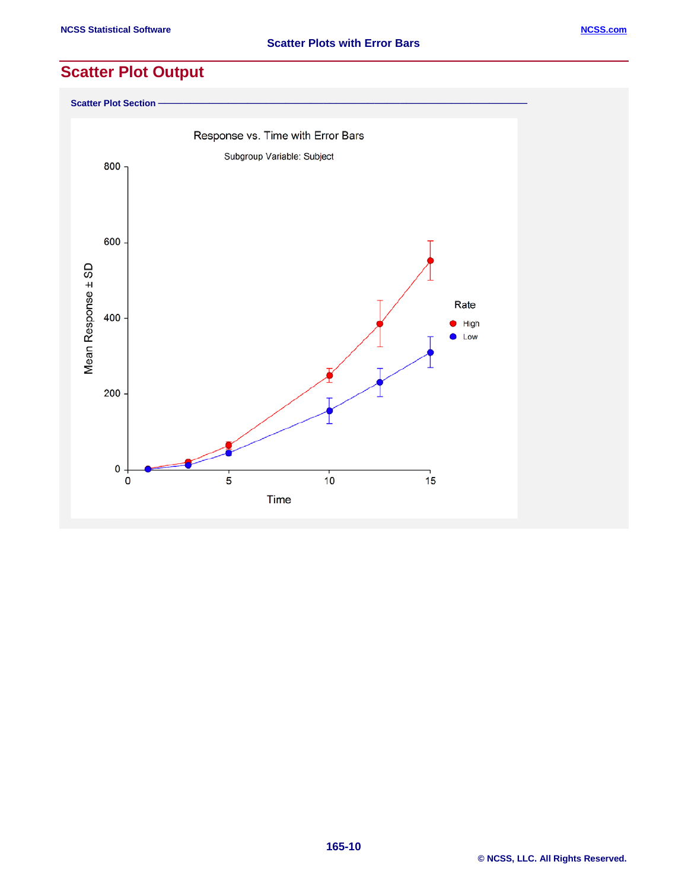**Scatter Plot Section** 

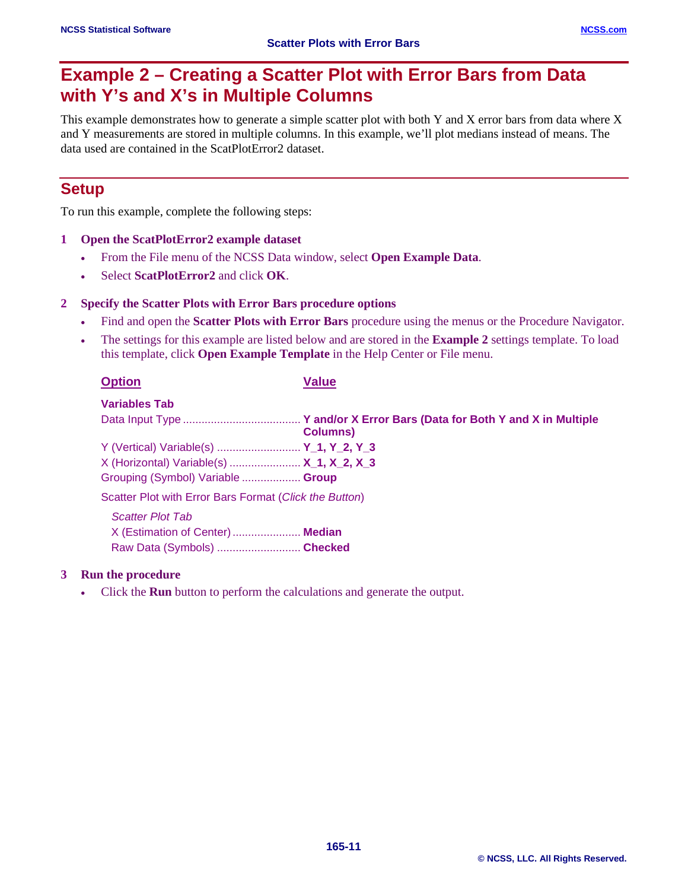# **Example 2 – Creating a Scatter Plot with Error Bars from Data with Y's and X's in Multiple Columns**

This example demonstrates how to generate a simple scatter plot with both Y and X error bars from data where X and Y measurements are stored in multiple columns. In this example, we'll plot medians instead of means. The data used are contained in the ScatPlotError2 dataset.

## **Setup**

To run this example, complete the following steps:

### **1 Open the ScatPlotError2 example dataset**

- From the File menu of the NCSS Data window, select **Open Example Data**.
- Select **ScatPlotError2** and click **OK**.

#### **2 Specify the Scatter Plots with Error Bars procedure options**

- Find and open the **Scatter Plots with Error Bars** procedure using the menus or the Procedure Navigator.
- The settings for this example are listed below and are stored in the **Example 2** settings template. To load this template, click **Open Example Template** in the Help Center or File menu.

| <b>Option</b>                                          | <b>Value</b>     |
|--------------------------------------------------------|------------------|
| <b>Variables Tab</b>                                   |                  |
|                                                        | <b>Columns</b> ) |
| Y (Vertical) Variable(s)  Y_1, Y_2, Y_3                |                  |
| X (Horizontal) Variable(s)  X 1, X 2, X 3              |                  |
| Grouping (Symbol) Variable  Group                      |                  |
| Scatter Plot with Error Bars Format (Click the Button) |                  |

*Scatter Plot Tab* X (Estimation of Center)...................... **Median** Raw Data (Symbols) ........................... **Checked**

### **3 Run the procedure**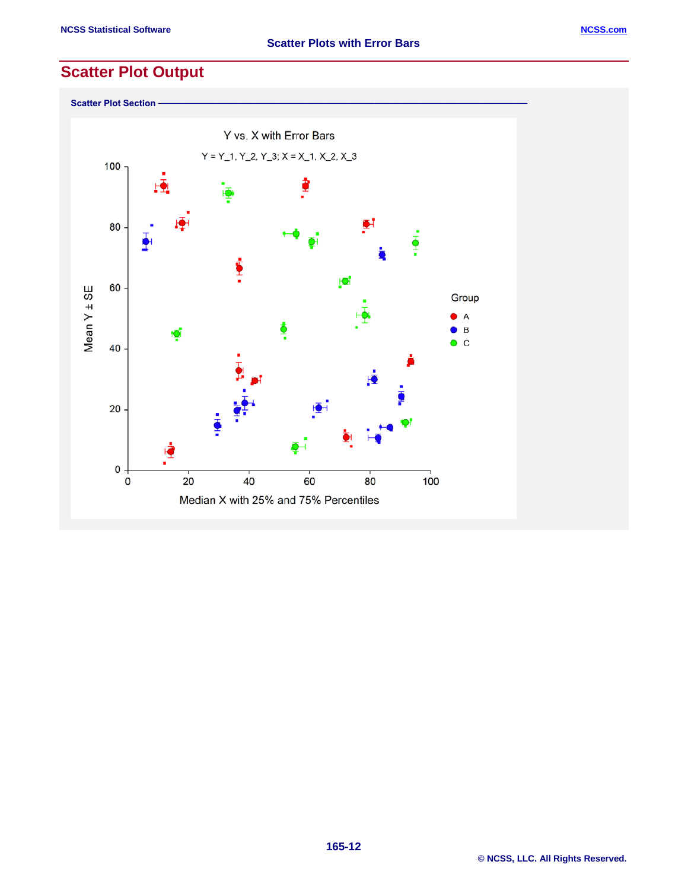

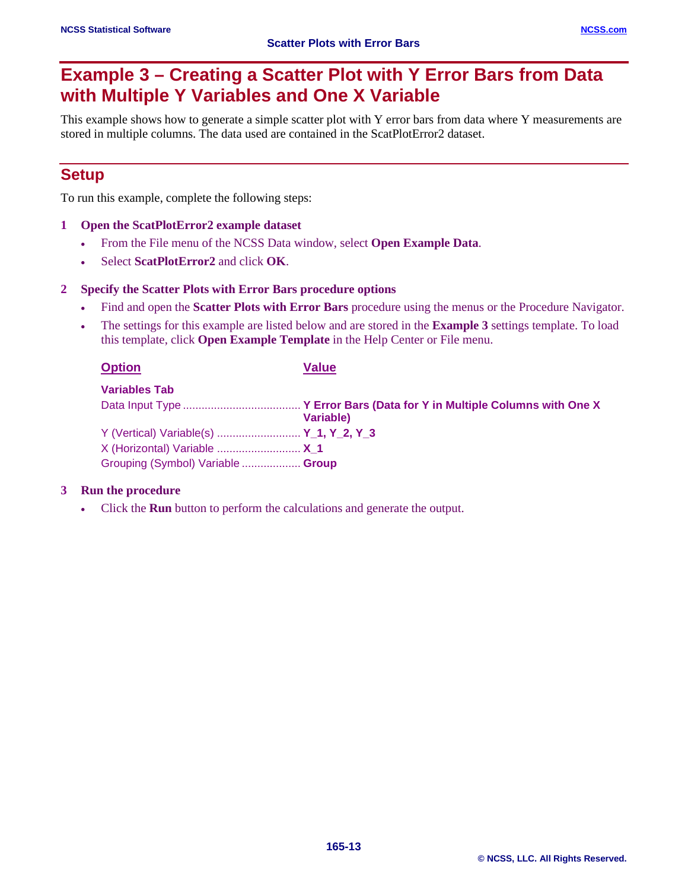# **Example 3 – Creating a Scatter Plot with Y Error Bars from Data with Multiple Y Variables and One X Variable**

This example shows how to generate a simple scatter plot with Y error bars from data where Y measurements are stored in multiple columns. The data used are contained in the ScatPlotError2 dataset.

## **Setup**

To run this example, complete the following steps:

#### **1 Open the ScatPlotError2 example dataset**

- From the File menu of the NCSS Data window, select **Open Example Data**.
- Select **ScatPlotError2** and click **OK**.

#### **2 Specify the Scatter Plots with Error Bars procedure options**

- Find and open the **Scatter Plots with Error Bars** procedure using the menus or the Procedure Navigator.
- The settings for this example are listed below and are stored in the **Example 3** settings template. To load this template, click **Open Example Template** in the Help Center or File menu.

| <b>Option</b>                           | <b>Value</b> |
|-----------------------------------------|--------------|
| <b>Variables Tab</b>                    |              |
|                                         |              |
|                                         | Variable)    |
| Y (Vertical) Variable(s)  Y_1, Y_2, Y_3 |              |
| X (Horizontal) Variable  X 1            |              |
| Grouping (Symbol) Variable  Group       |              |

#### **3 Run the procedure**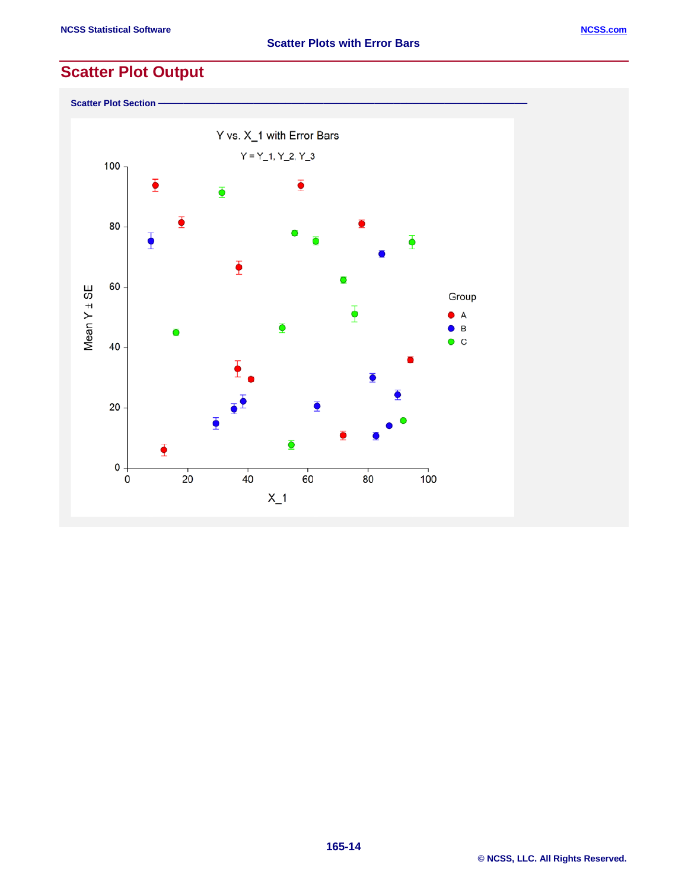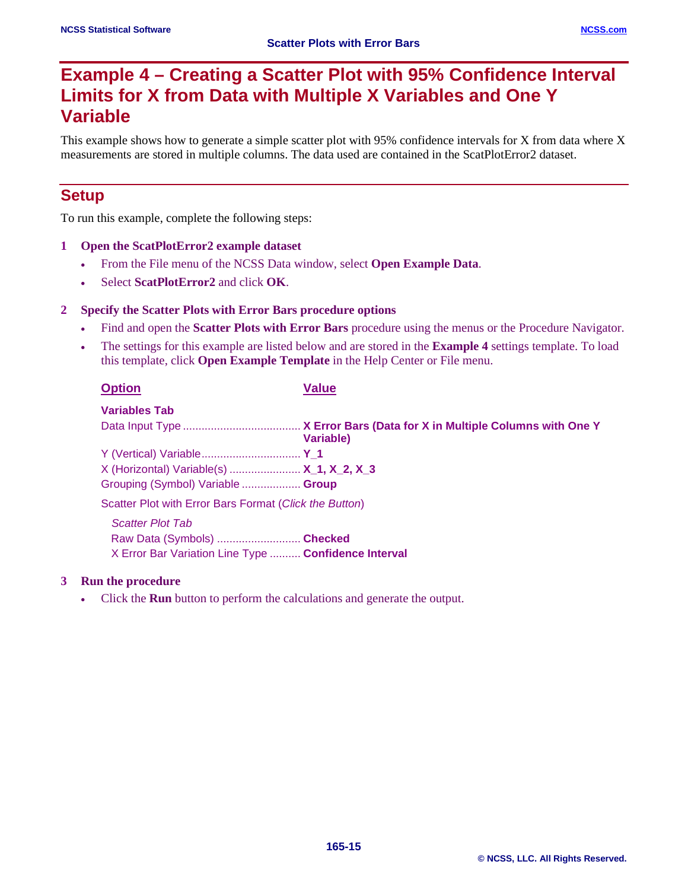# **Example 4 – Creating a Scatter Plot with 95% Confidence Interval Limits for X from Data with Multiple X Variables and One Y Variable**

This example shows how to generate a simple scatter plot with 95% confidence intervals for X from data where X measurements are stored in multiple columns. The data used are contained in the ScatPlotError2 dataset.

## **Setup**

To run this example, complete the following steps:

- **1 Open the ScatPlotError2 example dataset**
	- From the File menu of the NCSS Data window, select **Open Example Data**.
	- Select **ScatPlotError2** and click **OK**.

#### **2 Specify the Scatter Plots with Error Bars procedure options**

- Find and open the **Scatter Plots with Error Bars** procedure using the menus or the Procedure Navigator.
- The settings for this example are listed below and are stored in the **Example 4** settings template. To load this template, click **Open Example Template** in the Help Center or File menu.

| <b>Option</b>                                          | <b>Value</b>      |
|--------------------------------------------------------|-------------------|
| <b>Variables Tab</b>                                   |                   |
|                                                        | <b>Variable</b> ) |
| Y (Vertical) Variable Y_1                              |                   |
| X (Horizontal) Variable(s)  X_1, X_2, X_3              |                   |
| Grouping (Symbol) Variable  Group                      |                   |
| Scatter Plot with Error Bars Format (Click the Button) |                   |
| <b>Scatter Plot Tab</b>                                |                   |
| Raw Data (Symbols)  Checked                            |                   |
| X Error Bar Variation Line Type  Confidence Interval   |                   |

### **3 Run the procedure**